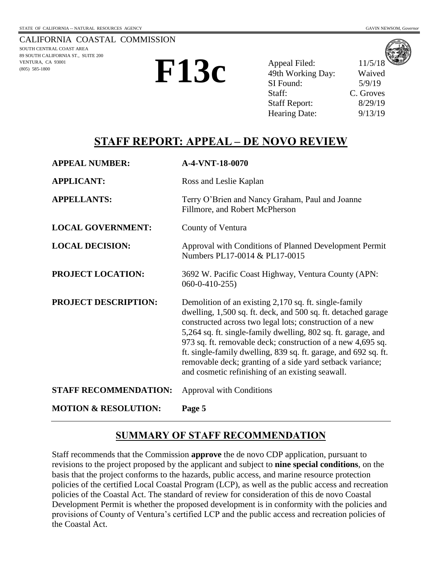

**F13c**

Appeal Filed: 11/5/18 49th Working Day: Waived SI Found: 5/9/19 Staff: C. Groves Staff Report: 8/29/19 Hearing Date: 9/13/19

## **STAFF REPORT: APPEAL – DE NOVO REVIEW**

| <b>APPEAL NUMBER:</b>           | A-4-VNT-18-0070                                                                                                                                                                                                                                                                                                                                                                                                                                                                                        |
|---------------------------------|--------------------------------------------------------------------------------------------------------------------------------------------------------------------------------------------------------------------------------------------------------------------------------------------------------------------------------------------------------------------------------------------------------------------------------------------------------------------------------------------------------|
| <b>APPLICANT:</b>               | Ross and Leslie Kaplan                                                                                                                                                                                                                                                                                                                                                                                                                                                                                 |
| <b>APPELLANTS:</b>              | Terry O'Brien and Nancy Graham, Paul and Joanne<br>Fillmore, and Robert McPherson                                                                                                                                                                                                                                                                                                                                                                                                                      |
| <b>LOCAL GOVERNMENT:</b>        | County of Ventura                                                                                                                                                                                                                                                                                                                                                                                                                                                                                      |
| <b>LOCAL DECISION:</b>          | Approval with Conditions of Planned Development Permit<br>Numbers PL17-0014 & PL17-0015                                                                                                                                                                                                                                                                                                                                                                                                                |
| <b>PROJECT LOCATION:</b>        | 3692 W. Pacific Coast Highway, Ventura County (APN:<br>$060 - 0 - 410 - 255$                                                                                                                                                                                                                                                                                                                                                                                                                           |
| <b>PROJECT DESCRIPTION:</b>     | Demolition of an existing 2,170 sq. ft. single-family<br>dwelling, 1,500 sq. ft. deck, and 500 sq. ft. detached garage<br>constructed across two legal lots; construction of a new<br>5,264 sq. ft. single-family dwelling, 802 sq. ft. garage, and<br>973 sq. ft. removable deck; construction of a new 4,695 sq.<br>ft. single-family dwelling, 839 sq. ft. garage, and 692 sq. ft.<br>removable deck; granting of a side yard setback variance;<br>and cosmetic refinishing of an existing seawall. |
| <b>STAFF RECOMMENDATION:</b>    | <b>Approval with Conditions</b>                                                                                                                                                                                                                                                                                                                                                                                                                                                                        |
| <b>MOTION &amp; RESOLUTION:</b> | Page 5                                                                                                                                                                                                                                                                                                                                                                                                                                                                                                 |

## **SUMMARY OF STAFF RECOMMENDATION**

Staff recommends that the Commission **approve** the de novo CDP application, pursuant to revisions to the project proposed by the applicant and subject to **nine special conditions**, on the basis that the project conforms to the hazards, public access, and marine resource protection policies of the certified Local Coastal Program (LCP), as well as the public access and recreation policies of the Coastal Act. The standard of review for consideration of this de novo Coastal Development Permit is whether the proposed development is in conformity with the policies and provisions of County of Ventura's certified LCP and the public access and recreation policies of the Coastal Act.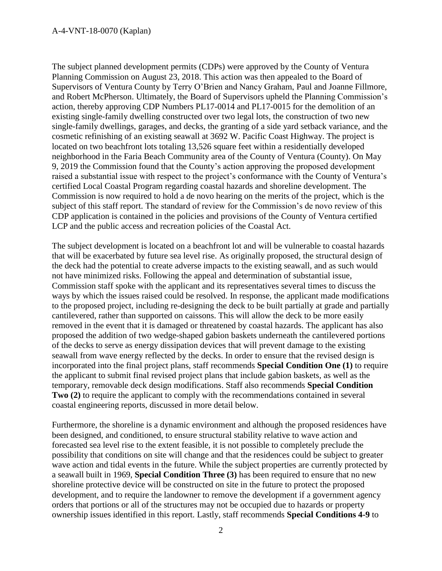The subject planned development permits (CDPs) were approved by the County of Ventura Planning Commission on August 23, 2018. This action was then appealed to the Board of Supervisors of Ventura County by Terry O'Brien and Nancy Graham, Paul and Joanne Fillmore, and Robert McPherson. Ultimately, the Board of Supervisors upheld the Planning Commission's action, thereby approving CDP Numbers PL17-0014 and PL17-0015 for the demolition of an existing single-family dwelling constructed over two legal lots, the construction of two new single-family dwellings, garages, and decks, the granting of a side yard setback variance, and the cosmetic refinishing of an existing seawall at 3692 W. Pacific Coast Highway. The project is located on two beachfront lots totaling 13,526 square feet within a residentially developed neighborhood in the Faria Beach Community area of the County of Ventura (County). On May 9, 2019 the Commission found that the County's action approving the proposed development raised a substantial issue with respect to the project's conformance with the County of Ventura's certified Local Coastal Program regarding coastal hazards and shoreline development. The Commission is now required to hold a de novo hearing on the merits of the project, which is the subject of this staff report. The standard of review for the Commission's de novo review of this CDP application is contained in the policies and provisions of the County of Ventura certified LCP and the public access and recreation policies of the Coastal Act.

The subject development is located on a beachfront lot and will be vulnerable to coastal hazards that will be exacerbated by future sea level rise. As originally proposed, the structural design of the deck had the potential to create adverse impacts to the existing seawall, and as such would not have minimized risks. Following the appeal and determination of substantial issue, Commission staff spoke with the applicant and its representatives several times to discuss the ways by which the issues raised could be resolved. In response, the applicant made modifications to the proposed project, including re-designing the deck to be built partially at grade and partially cantilevered, rather than supported on caissons. This will allow the deck to be more easily removed in the event that it is damaged or threatened by coastal hazards. The applicant has also proposed the addition of two wedge-shaped gabion baskets underneath the cantilevered portions of the decks to serve as energy dissipation devices that will prevent damage to the existing seawall from wave energy reflected by the decks. In order to ensure that the revised design is incorporated into the final project plans, staff recommends **Special Condition One (1)** to require the applicant to submit final revised project plans that include gabion baskets, as well as the temporary, removable deck design modifications. Staff also recommends **Special Condition Two (2)** to require the applicant to comply with the recommendations contained in several coastal engineering reports, discussed in more detail below.

Furthermore, the shoreline is a dynamic environment and although the proposed residences have been designed, and conditioned, to ensure structural stability relative to wave action and forecasted sea level rise to the extent feasible, it is not possible to completely preclude the possibility that conditions on site will change and that the residences could be subject to greater wave action and tidal events in the future. While the subject properties are currently protected by a seawall built in 1969, **Special Condition Three (3)** has been required to ensure that no new shoreline protective device will be constructed on site in the future to protect the proposed development, and to require the landowner to remove the development if a government agency orders that portions or all of the structures may not be occupied due to hazards or property ownership issues identified in this report. Lastly, staff recommends **Special Conditions 4-9** to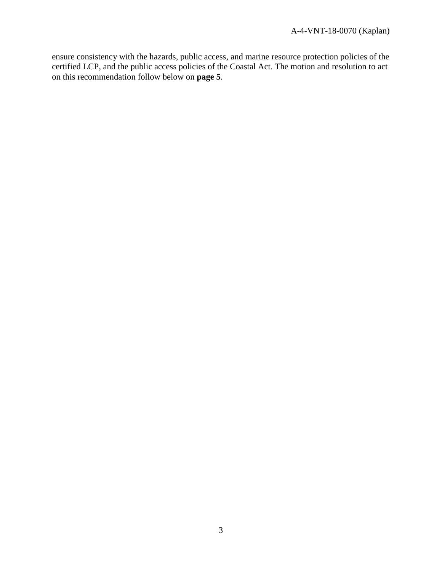ensure consistency with the hazards, public access, and marine resource protection policies of the certified LCP, and the public access policies of the Coastal Act. The motion and resolution to act on this recommendation follow below on **page 5**.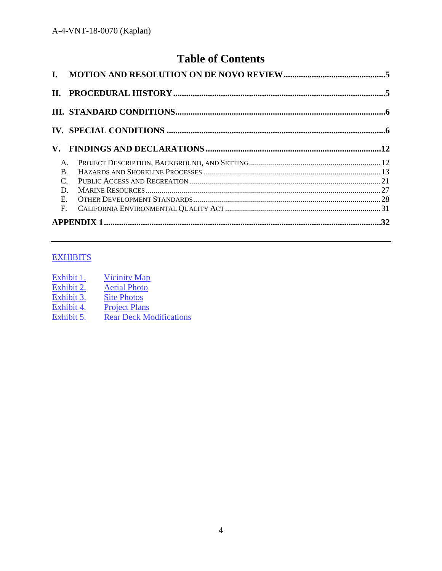# **Table of Contents**

| $\mathbf{V}_{\cdot}$ |  |
|----------------------|--|
| A.                   |  |
| <sub>R</sub>         |  |
| $\mathcal{C}$        |  |
| D                    |  |
| $E_{\rm c}$          |  |
| $F_{\cdot}$          |  |
|                      |  |

## **EXHIBITS**

| Exhibit 1. | <b>Vicinity Map</b>            |
|------------|--------------------------------|
| Exhibit 2. | <b>Aerial Photo</b>            |
| Exhibit 3. | <b>Site Photos</b>             |
| Exhibit 4. | <b>Project Plans</b>           |
| Exhibit 5. | <b>Rear Deck Modifications</b> |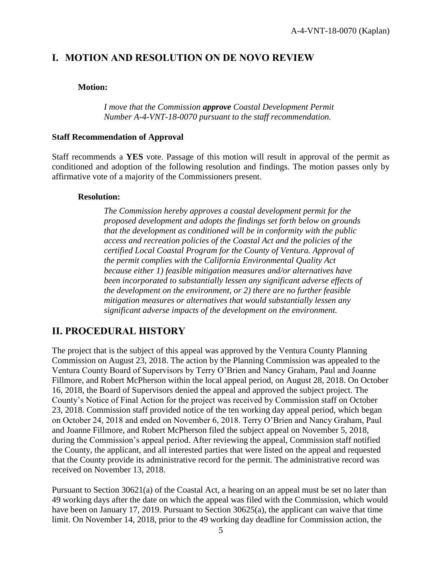## <span id="page-4-0"></span>**I. MOTION AND RESOLUTION ON DE NOVO REVIEW**

#### **Motion:**

*I move that the Commission approve Coastal Development Permit Number A-4-VNT-18-0070 pursuant to the staff recommendation.*

#### **Staff Recommendation of Approval**

Staff recommends a **YES** vote. Passage of this motion will result in approval of the permit as conditioned and adoption of the following resolution and findings. The motion passes only by affirmative vote of a majority of the Commissioners present.

#### **Resolution:**

*The Commission hereby approves a coastal development permit for the proposed development and adopts the findings set forth below on grounds that the development as conditioned will be in conformity with the public access and recreation policies of the Coastal Act and the policies of the certified Local Coastal Program for the County of Ventura. Approval of the permit complies with the California Environmental Quality Act because either 1) feasible mitigation measures and/or alternatives have been incorporated to substantially lessen any significant adverse effects of the development on the environment, or 2) there are no further feasible mitigation measures or alternatives that would substantially lessen any significant adverse impacts of the development on the environment.*

## <span id="page-4-1"></span>**II. PROCEDURAL HISTORY**

The project that is the subject of this appeal was approved by the Ventura County Planning Commission on August 23, 2018. The action by the Planning Commission was appealed to the Ventura County Board of Supervisors by Terry O'Brien and Nancy Graham, Paul and Joanne Fillmore, and Robert McPherson within the local appeal period, on August 28, 2018. On October 16, 2018, the Board of Supervisors denied the appeal and approved the subject project. The County's Notice of Final Action for the project was received by Commission staff on October 23, 2018. Commission staff provided notice of the ten working day appeal period, which began on October 24, 2018 and ended on November 6, 2018. Terry O'Brien and Nancy Graham, Paul and Joanne Fillmore, and Robert McPherson filed the subject appeal on November 5, 2018, during the Commission's appeal period. After reviewing the appeal, Commission staff notified the County, the applicant, and all interested parties that were listed on the appeal and requested that the County provide its administrative record for the permit. The administrative record was received on November 13, 2018.

Pursuant to Section 30621(a) of the Coastal Act, a hearing on an appeal must be set no later than 49 working days after the date on which the appeal was filed with the Commission, which would have been on January 17, 2019. Pursuant to Section 30625(a), the applicant can waive that time limit. On November 14, 2018, prior to the 49 working day deadline for Commission action, the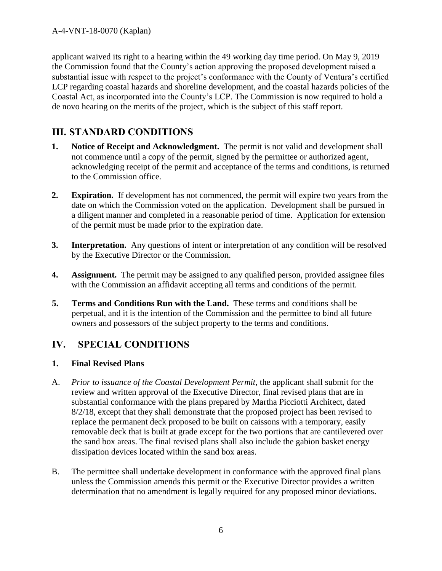applicant waived its right to a hearing within the 49 working day time period. On May 9, 2019 the Commission found that the County's action approving the proposed development raised a substantial issue with respect to the project's conformance with the County of Ventura's certified LCP regarding coastal hazards and shoreline development, and the coastal hazards policies of the Coastal Act, as incorporated into the County's LCP. The Commission is now required to hold a de novo hearing on the merits of the project, which is the subject of this staff report.

## <span id="page-5-0"></span>**III. STANDARD CONDITIONS**

- **1. Notice of Receipt and Acknowledgment.** The permit is not valid and development shall not commence until a copy of the permit, signed by the permittee or authorized agent, acknowledging receipt of the permit and acceptance of the terms and conditions, is returned to the Commission office.
- **2. Expiration.** If development has not commenced, the permit will expire two years from the date on which the Commission voted on the application. Development shall be pursued in a diligent manner and completed in a reasonable period of time. Application for extension of the permit must be made prior to the expiration date.
- **3. Interpretation.** Any questions of intent or interpretation of any condition will be resolved by the Executive Director or the Commission.
- **4. Assignment.** The permit may be assigned to any qualified person, provided assignee files with the Commission an affidavit accepting all terms and conditions of the permit.
- **5. Terms and Conditions Run with the Land.** These terms and conditions shall be perpetual, and it is the intention of the Commission and the permittee to bind all future owners and possessors of the subject property to the terms and conditions.

## <span id="page-5-1"></span>**IV. SPECIAL CONDITIONS**

## **1. Final Revised Plans**

- A. *Prior to issuance of the Coastal Development Permit,* the applicant shall submit for the review and written approval of the Executive Director, final revised plans that are in substantial conformance with the plans prepared by Martha Picciotti Architect, dated 8/2/18, except that they shall demonstrate that the proposed project has been revised to replace the permanent deck proposed to be built on caissons with a temporary, easily removable deck that is built at grade except for the two portions that are cantilevered over the sand box areas. The final revised plans shall also include the gabion basket energy dissipation devices located within the sand box areas.
- B. The permittee shall undertake development in conformance with the approved final plans unless the Commission amends this permit or the Executive Director provides a written determination that no amendment is legally required for any proposed minor deviations.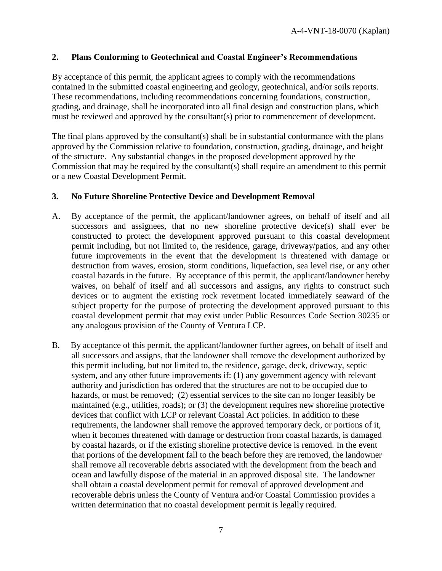#### **2. Plans Conforming to Geotechnical and Coastal Engineer's Recommendations**

By acceptance of this permit, the applicant agrees to comply with the recommendations contained in the submitted coastal engineering and geology, geotechnical, and/or soils reports. These recommendations, including recommendations concerning foundations, construction, grading, and drainage, shall be incorporated into all final design and construction plans, which must be reviewed and approved by the consultant(s) prior to commencement of development.

The final plans approved by the consultant(s) shall be in substantial conformance with the plans approved by the Commission relative to foundation, construction, grading, drainage, and height of the structure. Any substantial changes in the proposed development approved by the Commission that may be required by the consultant(s) shall require an amendment to this permit or a new Coastal Development Permit.

#### **3. No Future Shoreline Protective Device and Development Removal**

- A. By acceptance of the permit, the applicant/landowner agrees, on behalf of itself and all successors and assignees, that no new shoreline protective device(s) shall ever be constructed to protect the development approved pursuant to this coastal development permit including, but not limited to, the residence, garage, driveway/patios, and any other future improvements in the event that the development is threatened with damage or destruction from waves, erosion, storm conditions, liquefaction, sea level rise, or any other coastal hazards in the future. By acceptance of this permit, the applicant/landowner hereby waives, on behalf of itself and all successors and assigns, any rights to construct such devices or to augment the existing rock revetment located immediately seaward of the subject property for the purpose of protecting the development approved pursuant to this coastal development permit that may exist under Public Resources Code Section 30235 or any analogous provision of the County of Ventura LCP.
- B. By acceptance of this permit, the applicant/landowner further agrees, on behalf of itself and all successors and assigns, that the landowner shall remove the development authorized by this permit including, but not limited to, the residence, garage, deck, driveway, septic system, and any other future improvements if: (1) any government agency with relevant authority and jurisdiction has ordered that the structures are not to be occupied due to hazards, or must be removed; (2) essential services to the site can no longer feasibly be maintained (e.g., utilities, roads); or (3) the development requires new shoreline protective devices that conflict with LCP or relevant Coastal Act policies. In addition to these requirements, the landowner shall remove the approved temporary deck, or portions of it, when it becomes threatened with damage or destruction from coastal hazards, is damaged by coastal hazards, or if the existing shoreline protective device is removed. In the event that portions of the development fall to the beach before they are removed, the landowner shall remove all recoverable debris associated with the development from the beach and ocean and lawfully dispose of the material in an approved disposal site. The landowner shall obtain a coastal development permit for removal of approved development and recoverable debris unless the County of Ventura and/or Coastal Commission provides a written determination that no coastal development permit is legally required.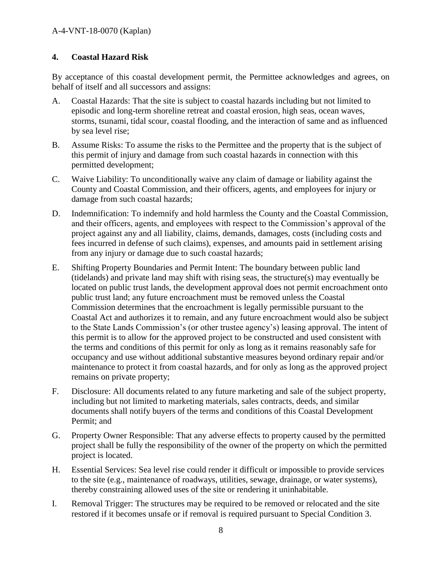## **4. Coastal Hazard Risk**

By acceptance of this coastal development permit, the Permittee acknowledges and agrees, on behalf of itself and all successors and assigns:

- A. Coastal Hazards: That the site is subject to coastal hazards including but not limited to episodic and long-term shoreline retreat and coastal erosion, high seas, ocean waves, storms, tsunami, tidal scour, coastal flooding, and the interaction of same and as influenced by sea level rise;
- B. Assume Risks: To assume the risks to the Permittee and the property that is the subject of this permit of injury and damage from such coastal hazards in connection with this permitted development;
- C. Waive Liability: To unconditionally waive any claim of damage or liability against the County and Coastal Commission, and their officers, agents, and employees for injury or damage from such coastal hazards;
- D. Indemnification: To indemnify and hold harmless the County and the Coastal Commission, and their officers, agents, and employees with respect to the Commission's approval of the project against any and all liability, claims, demands, damages, costs (including costs and fees incurred in defense of such claims), expenses, and amounts paid in settlement arising from any injury or damage due to such coastal hazards;
- E. Shifting Property Boundaries and Permit Intent: The boundary between public land (tidelands) and private land may shift with rising seas, the structure(s) may eventually be located on public trust lands, the development approval does not permit encroachment onto public trust land; any future encroachment must be removed unless the Coastal Commission determines that the encroachment is legally permissible pursuant to the Coastal Act and authorizes it to remain, and any future encroachment would also be subject to the State Lands Commission's (or other trustee agency's) leasing approval. The intent of this permit is to allow for the approved project to be constructed and used consistent with the terms and conditions of this permit for only as long as it remains reasonably safe for occupancy and use without additional substantive measures beyond ordinary repair and/or maintenance to protect it from coastal hazards, and for only as long as the approved project remains on private property;
- F. Disclosure: All documents related to any future marketing and sale of the subject property, including but not limited to marketing materials, sales contracts, deeds, and similar documents shall notify buyers of the terms and conditions of this Coastal Development Permit; and
- G. Property Owner Responsible: That any adverse effects to property caused by the permitted project shall be fully the responsibility of the owner of the property on which the permitted project is located.
- H. Essential Services: Sea level rise could render it difficult or impossible to provide services to the site (e.g., maintenance of roadways, utilities, sewage, drainage, or water systems), thereby constraining allowed uses of the site or rendering it uninhabitable.
- I. Removal Trigger: The structures may be required to be removed or relocated and the site restored if it becomes unsafe or if removal is required pursuant to Special Condition 3.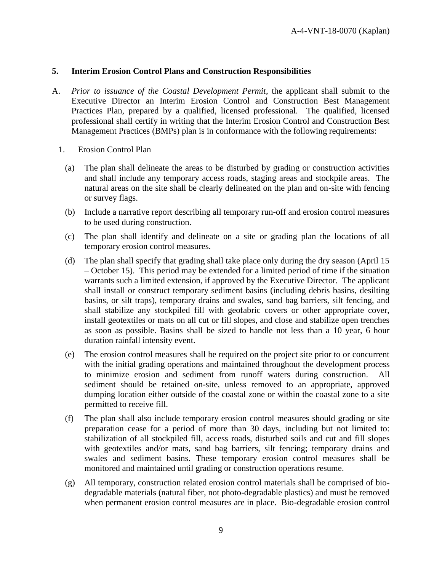#### **5. Interim Erosion Control Plans and Construction Responsibilities**

- A. *Prior to issuance of the Coastal Development Permit*, the applicant shall submit to the Executive Director an Interim Erosion Control and Construction Best Management Practices Plan, prepared by a qualified, licensed professional. The qualified, licensed professional shall certify in writing that the Interim Erosion Control and Construction Best Management Practices (BMPs) plan is in conformance with the following requirements:
	- 1. Erosion Control Plan
		- (a) The plan shall delineate the areas to be disturbed by grading or construction activities and shall include any temporary access roads, staging areas and stockpile areas. The natural areas on the site shall be clearly delineated on the plan and on-site with fencing or survey flags.
		- (b) Include a narrative report describing all temporary run-off and erosion control measures to be used during construction.
		- (c) The plan shall identify and delineate on a site or grading plan the locations of all temporary erosion control measures.
		- (d) The plan shall specify that grading shall take place only during the dry season (April 15 – October 15). This period may be extended for a limited period of time if the situation warrants such a limited extension, if approved by the Executive Director. The applicant shall install or construct temporary sediment basins (including debris basins, desilting basins, or silt traps), temporary drains and swales, sand bag barriers, silt fencing, and shall stabilize any stockpiled fill with geofabric covers or other appropriate cover, install geotextiles or mats on all cut or fill slopes, and close and stabilize open trenches as soon as possible. Basins shall be sized to handle not less than a 10 year, 6 hour duration rainfall intensity event.
		- (e) The erosion control measures shall be required on the project site prior to or concurrent with the initial grading operations and maintained throughout the development process to minimize erosion and sediment from runoff waters during construction. All sediment should be retained on-site, unless removed to an appropriate, approved dumping location either outside of the coastal zone or within the coastal zone to a site permitted to receive fill.
		- (f) The plan shall also include temporary erosion control measures should grading or site preparation cease for a period of more than 30 days, including but not limited to: stabilization of all stockpiled fill, access roads, disturbed soils and cut and fill slopes with geotextiles and/or mats, sand bag barriers, silt fencing; temporary drains and swales and sediment basins. These temporary erosion control measures shall be monitored and maintained until grading or construction operations resume.
		- (g) All temporary, construction related erosion control materials shall be comprised of biodegradable materials (natural fiber, not photo-degradable plastics) and must be removed when permanent erosion control measures are in place. Bio-degradable erosion control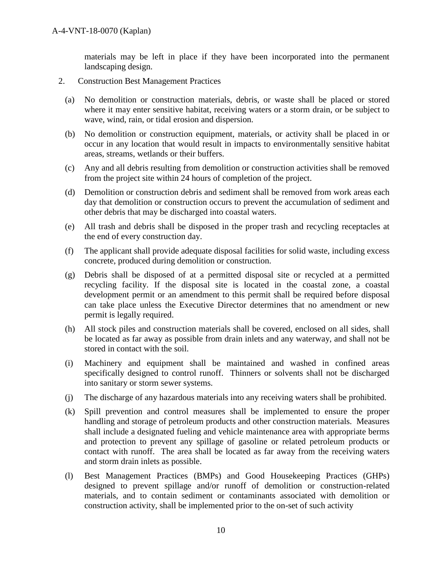materials may be left in place if they have been incorporated into the permanent landscaping design.

- 2. Construction Best Management Practices
	- (a) No demolition or construction materials, debris, or waste shall be placed or stored where it may enter sensitive habitat, receiving waters or a storm drain, or be subject to wave, wind, rain, or tidal erosion and dispersion.
	- (b) No demolition or construction equipment, materials, or activity shall be placed in or occur in any location that would result in impacts to environmentally sensitive habitat areas, streams, wetlands or their buffers.
	- (c) Any and all debris resulting from demolition or construction activities shall be removed from the project site within 24 hours of completion of the project.
	- (d) Demolition or construction debris and sediment shall be removed from work areas each day that demolition or construction occurs to prevent the accumulation of sediment and other debris that may be discharged into coastal waters.
	- (e) All trash and debris shall be disposed in the proper trash and recycling receptacles at the end of every construction day.
	- (f) The applicant shall provide adequate disposal facilities for solid waste, including excess concrete, produced during demolition or construction.
	- (g) Debris shall be disposed of at a permitted disposal site or recycled at a permitted recycling facility. If the disposal site is located in the coastal zone, a coastal development permit or an amendment to this permit shall be required before disposal can take place unless the Executive Director determines that no amendment or new permit is legally required.
	- (h) All stock piles and construction materials shall be covered, enclosed on all sides, shall be located as far away as possible from drain inlets and any waterway, and shall not be stored in contact with the soil.
	- (i) Machinery and equipment shall be maintained and washed in confined areas specifically designed to control runoff. Thinners or solvents shall not be discharged into sanitary or storm sewer systems.
	- (j) The discharge of any hazardous materials into any receiving waters shall be prohibited.
	- (k) Spill prevention and control measures shall be implemented to ensure the proper handling and storage of petroleum products and other construction materials. Measures shall include a designated fueling and vehicle maintenance area with appropriate berms and protection to prevent any spillage of gasoline or related petroleum products or contact with runoff. The area shall be located as far away from the receiving waters and storm drain inlets as possible.
	- (l) Best Management Practices (BMPs) and Good Housekeeping Practices (GHPs) designed to prevent spillage and/or runoff of demolition or construction-related materials, and to contain sediment or contaminants associated with demolition or construction activity, shall be implemented prior to the on-set of such activity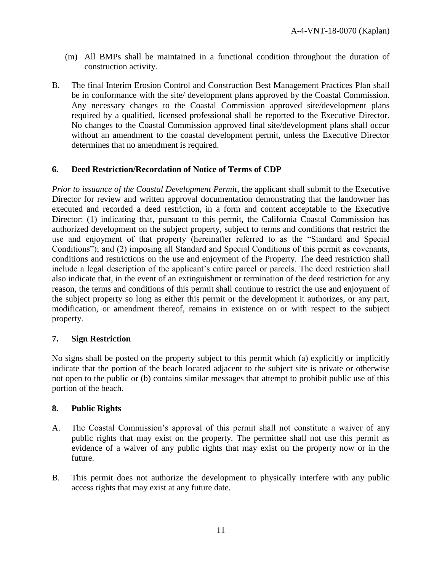- (m) All BMPs shall be maintained in a functional condition throughout the duration of construction activity.
- B. The final Interim Erosion Control and Construction Best Management Practices Plan shall be in conformance with the site/ development plans approved by the Coastal Commission. Any necessary changes to the Coastal Commission approved site/development plans required by a qualified, licensed professional shall be reported to the Executive Director. No changes to the Coastal Commission approved final site/development plans shall occur without an amendment to the coastal development permit, unless the Executive Director determines that no amendment is required.

### **6. Deed Restriction/Recordation of Notice of Terms of CDP**

*Prior to issuance of the Coastal Development Permit*, the applicant shall submit to the Executive Director for review and written approval documentation demonstrating that the landowner has executed and recorded a deed restriction, in a form and content acceptable to the Executive Director: (1) indicating that, pursuant to this permit, the California Coastal Commission has authorized development on the subject property, subject to terms and conditions that restrict the use and enjoyment of that property (hereinafter referred to as the "Standard and Special Conditions"); and (2) imposing all Standard and Special Conditions of this permit as covenants, conditions and restrictions on the use and enjoyment of the Property. The deed restriction shall include a legal description of the applicant's entire parcel or parcels. The deed restriction shall also indicate that, in the event of an extinguishment or termination of the deed restriction for any reason, the terms and conditions of this permit shall continue to restrict the use and enjoyment of the subject property so long as either this permit or the development it authorizes, or any part, modification, or amendment thereof, remains in existence on or with respect to the subject property.

#### **7. Sign Restriction**

No signs shall be posted on the property subject to this permit which (a) explicitly or implicitly indicate that the portion of the beach located adjacent to the subject site is private or otherwise not open to the public or (b) contains similar messages that attempt to prohibit public use of this portion of the beach.

#### **8. Public Rights**

- A. The Coastal Commission's approval of this permit shall not constitute a waiver of any public rights that may exist on the property. The permittee shall not use this permit as evidence of a waiver of any public rights that may exist on the property now or in the future.
- B. This permit does not authorize the development to physically interfere with any public access rights that may exist at any future date.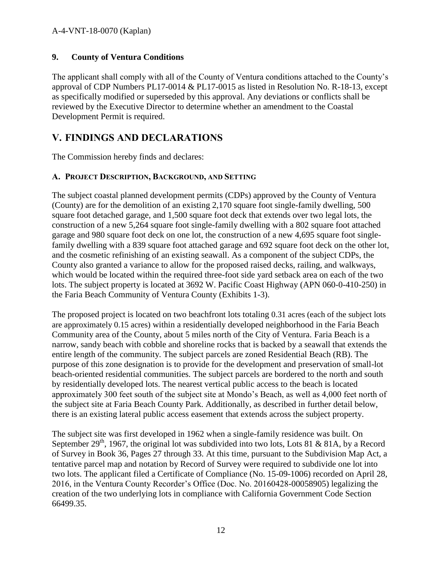## **9. County of Ventura Conditions**

The applicant shall comply with all of the County of Ventura conditions attached to the County's approval of CDP Numbers PL17-0014 & PL17-0015 as listed in Resolution No. R-18-13, except as specifically modified or superseded by this approval. Any deviations or conflicts shall be reviewed by the Executive Director to determine whether an amendment to the Coastal Development Permit is required.

## <span id="page-11-0"></span>**V. FINDINGS AND DECLARATIONS**

The Commission hereby finds and declares:

## <span id="page-11-1"></span>**A. PROJECT DESCRIPTION, BACKGROUND, AND SETTING**

The subject coastal planned development permits (CDPs) approved by the County of Ventura (County) are for the demolition of an existing 2,170 square foot single-family dwelling, 500 square foot detached garage, and 1,500 square foot deck that extends over two legal lots, the construction of a new 5,264 square foot single-family dwelling with a 802 square foot attached garage and 980 square foot deck on one lot, the construction of a new 4,695 square foot singlefamily dwelling with a 839 square foot attached garage and 692 square foot deck on the other lot, and the cosmetic refinishing of an existing seawall. As a component of the subject CDPs, the County also granted a variance to allow for the proposed raised decks, railing, and walkways, which would be located within the required three-foot side yard setback area on each of the two lots. The subject property is located at 3692 W. Pacific Coast Highway (APN 060-0-410-250) in the Faria Beach Community of Ventura County (Exhibits 1-3).

The proposed project is located on two beachfront lots totaling 0.31 acres (each of the subject lots are approximately 0.15 acres) within a residentially developed neighborhood in the Faria Beach Community area of the County, about 5 miles north of the City of Ventura. Faria Beach is a narrow, sandy beach with cobble and shoreline rocks that is backed by a seawall that extends the entire length of the community. The subject parcels are zoned Residential Beach (RB). The purpose of this zone designation is to provide for the development and preservation of small-lot beach-oriented residential communities. The subject parcels are bordered to the north and south by residentially developed lots. The nearest vertical public access to the beach is located approximately 300 feet south of the subject site at Mondo's Beach, as well as 4,000 feet north of the subject site at Faria Beach County Park. Additionally, as described in further detail below, there is an existing lateral public access easement that extends across the subject property.

The subject site was first developed in 1962 when a single-family residence was built. On September  $29<sup>th</sup>$ , 1967, the original lot was subdivided into two lots, Lots 81 & 81A, by a Record of Survey in Book 36, Pages 27 through 33. At this time, pursuant to the Subdivision Map Act, a tentative parcel map and notation by Record of Survey were required to subdivide one lot into two lots. The applicant filed a Certificate of Compliance (No. 15-09-1006) recorded on April 28, 2016, in the Ventura County Recorder's Office (Doc. No. 20160428-00058905) legalizing the creation of the two underlying lots in compliance with California Government Code Section 66499.35.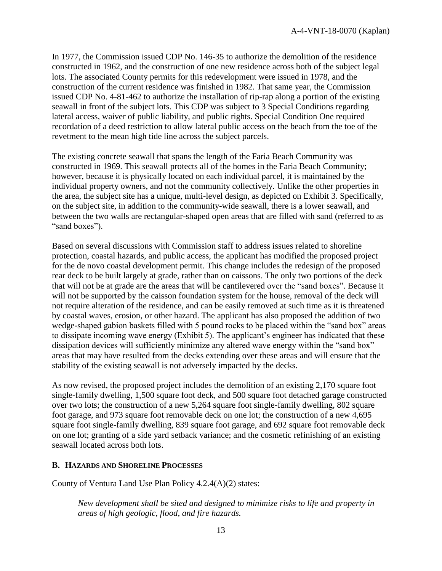In 1977, the Commission issued CDP No. 146-35 to authorize the demolition of the residence constructed in 1962, and the construction of one new residence across both of the subject legal lots. The associated County permits for this redevelopment were issued in 1978, and the construction of the current residence was finished in 1982. That same year, the Commission issued CDP No. 4-81-462 to authorize the installation of rip-rap along a portion of the existing seawall in front of the subject lots. This CDP was subject to 3 Special Conditions regarding lateral access, waiver of public liability, and public rights. Special Condition One required recordation of a deed restriction to allow lateral public access on the beach from the toe of the revetment to the mean high tide line across the subject parcels.

The existing concrete seawall that spans the length of the Faria Beach Community was constructed in 1969. This seawall protects all of the homes in the Faria Beach Community; however, because it is physically located on each individual parcel, it is maintained by the individual property owners, and not the community collectively. Unlike the other properties in the area, the subject site has a unique, multi-level design, as depicted on Exhibit 3. Specifically, on the subject site, in addition to the community-wide seawall, there is a lower seawall, and between the two walls are rectangular-shaped open areas that are filled with sand (referred to as "sand boxes").

Based on several discussions with Commission staff to address issues related to shoreline protection, coastal hazards, and public access, the applicant has modified the proposed project for the de novo coastal development permit. This change includes the redesign of the proposed rear deck to be built largely at grade, rather than on caissons. The only two portions of the deck that will not be at grade are the areas that will be cantilevered over the "sand boxes". Because it will not be supported by the caisson foundation system for the house, removal of the deck will not require alteration of the residence, and can be easily removed at such time as it is threatened by coastal waves, erosion, or other hazard. The applicant has also proposed the addition of two wedge-shaped gabion baskets filled with 5 pound rocks to be placed within the "sand box" areas to dissipate incoming wave energy (Exhibit 5). The applicant's engineer has indicated that these dissipation devices will sufficiently minimize any altered wave energy within the "sand box" areas that may have resulted from the decks extending over these areas and will ensure that the stability of the existing seawall is not adversely impacted by the decks.

As now revised, the proposed project includes the demolition of an existing 2,170 square foot single-family dwelling, 1,500 square foot deck, and 500 square foot detached garage constructed over two lots; the construction of a new 5,264 square foot single-family dwelling, 802 square foot garage, and 973 square foot removable deck on one lot; the construction of a new 4,695 square foot single-family dwelling, 839 square foot garage, and 692 square foot removable deck on one lot; granting of a side yard setback variance; and the cosmetic refinishing of an existing seawall located across both lots.

### <span id="page-12-0"></span>**B. HAZARDS AND SHORELINE PROCESSES**

County of Ventura Land Use Plan Policy 4.2.4(A)(2) states:

*New development shall be sited and designed to minimize risks to life and property in areas of high geologic, flood, and fire hazards.*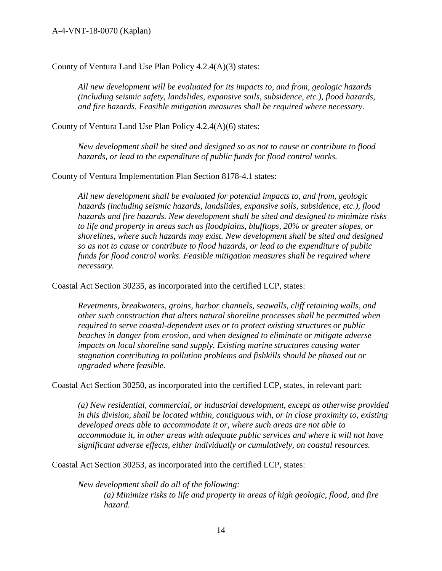County of Ventura Land Use Plan Policy 4.2.4(A)(3) states:

*All new development will be evaluated for its impacts to, and from, geologic hazards (including seismic safety, landslides, expansive soils, subsidence, etc.), flood hazards, and fire hazards. Feasible mitigation measures shall be required where necessary.*

County of Ventura Land Use Plan Policy 4.2.4(A)(6) states:

*New development shall be sited and designed so as not to cause or contribute to flood hazards, or lead to the expenditure of public funds for flood control works.*

County of Ventura Implementation Plan Section 8178-4.1 states:

*All new development shall be evaluated for potential impacts to, and from, geologic hazards (including seismic hazards, landslides, expansive soils, subsidence, etc.), flood hazards and fire hazards. New development shall be sited and designed to minimize risks to life and property in areas such as floodplains, blufftops, 20% or greater slopes, or shorelines, where such hazards may exist. New development shall be sited and designed so as not to cause or contribute to flood hazards, or lead to the expenditure of public funds for flood control works. Feasible mitigation measures shall be required where necessary.*

Coastal Act Section 30235, as incorporated into the certified LCP, states:

*Revetments, breakwaters, groins, harbor channels, seawalls, cliff retaining walls, and other such construction that alters natural shoreline processes shall be permitted when required to serve coastal-dependent uses or to protect existing structures or public beaches in danger from erosion, and when designed to eliminate or mitigate adverse impacts on local shoreline sand supply. Existing marine structures causing water stagnation contributing to pollution problems and fishkills should be phased out or upgraded where feasible.*

Coastal Act Section 30250, as incorporated into the certified LCP, states, in relevant part:

*(a) New residential, commercial, or industrial development, except as otherwise provided in this division, shall be located within, contiguous with, or in close proximity to, existing developed areas able to accommodate it or, where such areas are not able to accommodate it, in other areas with adequate public services and where it will not have significant adverse effects, either individually or cumulatively, on coastal resources.* 

Coastal Act Section 30253, as incorporated into the certified LCP, states:

*New development shall do all of the following: (a) Minimize risks to life and property in areas of high geologic, flood, and fire hazard.*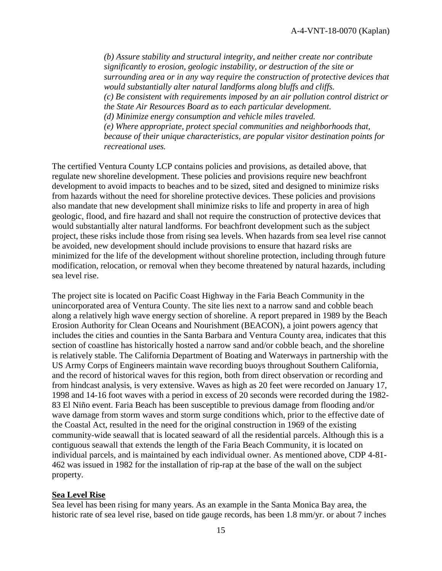*(b) Assure stability and structural integrity, and neither create nor contribute significantly to erosion, geologic instability, or destruction of the site or surrounding area or in any way require the construction of protective devices that would substantially alter natural landforms along bluffs and cliffs. (c) Be consistent with requirements imposed by an air pollution control district or the State Air Resources Board as to each particular development. (d) Minimize energy consumption and vehicle miles traveled. (e) Where appropriate, protect special communities and neighborhoods that, because of their unique characteristics, are popular visitor destination points for recreational uses.*

The certified Ventura County LCP contains policies and provisions, as detailed above, that regulate new shoreline development. These policies and provisions require new beachfront development to avoid impacts to beaches and to be sized, sited and designed to minimize risks from hazards without the need for shoreline protective devices. These policies and provisions also mandate that new development shall minimize risks to life and property in area of high geologic, flood, and fire hazard and shall not require the construction of protective devices that would substantially alter natural landforms. For beachfront development such as the subject project, these risks include those from rising sea levels. When hazards from sea level rise cannot be avoided, new development should include provisions to ensure that hazard risks are minimized for the life of the development without shoreline protection, including through future modification, relocation, or removal when they become threatened by natural hazards, including sea level rise.

The project site is located on Pacific Coast Highway in the Faria Beach Community in the unincorporated area of Ventura County. The site lies next to a narrow sand and cobble beach along a relatively high wave energy section of shoreline. A report prepared in 1989 by the Beach Erosion Authority for Clean Oceans and Nourishment (BEACON), a joint powers agency that includes the cities and counties in the Santa Barbara and Ventura County area, indicates that this section of coastline has historically hosted a narrow sand and/or cobble beach, and the shoreline is relatively stable. The California Department of Boating and Waterways in partnership with the US Army Corps of Engineers maintain wave recording buoys throughout Southern California, and the record of historical waves for this region, both from direct observation or recording and from hindcast analysis, is very extensive. Waves as high as 20 feet were recorded on January 17, 1998 and 14-16 foot waves with a period in excess of 20 seconds were recorded during the 1982- 83 El Niño event. Faria Beach has been susceptible to previous damage from flooding and/or wave damage from storm waves and storm surge conditions which, prior to the effective date of the Coastal Act, resulted in the need for the original construction in 1969 of the existing community-wide seawall that is located seaward of all the residential parcels. Although this is a contiguous seawall that extends the length of the Faria Beach Community, it is located on individual parcels, and is maintained by each individual owner. As mentioned above, CDP 4-81- 462 was issued in 1982 for the installation of rip-rap at the base of the wall on the subject property.

#### **Sea Level Rise**

Sea level has been rising for many years. As an example in the Santa Monica Bay area, the historic rate of sea level rise, based on tide gauge records, has been 1.8 mm/yr. or about 7 inches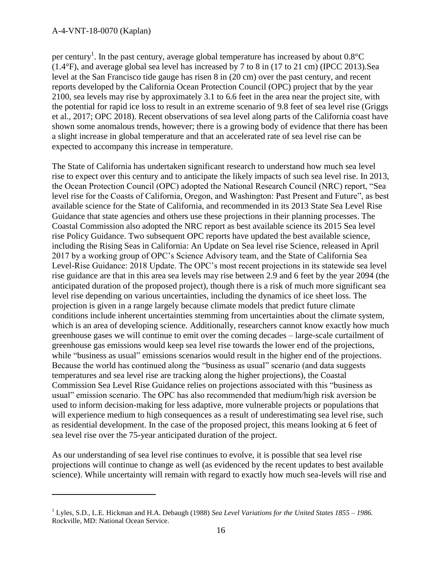#### A-4-VNT-18-0070 (Kaplan)

 $\overline{a}$ 

per century<sup>1</sup>. In the past century, average global temperature has increased by about  $0.8^{\circ}$ C (1.4°F), and average global sea level has increased by 7 to 8 in (17 to 21 cm) (IPCC 2013).Sea level at the San Francisco tide gauge has risen 8 in (20 cm) over the past century, and recent reports developed by the California Ocean Protection Council (OPC) project that by the year 2100, sea levels may rise by approximately 3.1 to 6.6 feet in the area near the project site, with the potential for rapid ice loss to result in an extreme scenario of 9.8 feet of sea level rise (Griggs et al., 2017; OPC 2018). Recent observations of sea level along parts of the California coast have shown some anomalous trends, however; there is a growing body of evidence that there has been a slight increase in global temperature and that an accelerated rate of sea level rise can be expected to accompany this increase in temperature.

The State of California has undertaken significant research to understand how much sea level rise to expect over this century and to anticipate the likely impacts of such sea level rise. In 2013, the Ocean Protection Council (OPC) adopted the National Research Council (NRC) report, "Sea level rise for the Coasts of California, Oregon, and Washington: Past Present and Future", as best available science for the State of California, and recommended in its 2013 State Sea Level Rise Guidance that state agencies and others use these projections in their planning processes. The Coastal Commission also adopted the NRC report as best available science its 2015 Sea level rise Policy Guidance. Two subsequent OPC reports have updated the best available science, including the Rising Seas in California: An Update on Sea level rise Science, released in April 2017 by a working group of OPC's Science Advisory team, and the State of California Sea Level-Rise Guidance: 2018 Update. The OPC's most recent projections in its statewide sea level rise guidance are that in this area sea levels may rise between 2.9 and 6 feet by the year 2094 (the anticipated duration of the proposed project), though there is a risk of much more significant sea level rise depending on various uncertainties, including the dynamics of ice sheet loss. The projection is given in a range largely because climate models that predict future climate conditions include inherent uncertainties stemming from uncertainties about the climate system, which is an area of developing science. Additionally, researchers cannot know exactly how much greenhouse gases we will continue to emit over the coming decades – large-scale curtailment of greenhouse gas emissions would keep sea level rise towards the lower end of the projections, while "business as usual" emissions scenarios would result in the higher end of the projections. Because the world has continued along the "business as usual" scenario (and data suggests temperatures and sea level rise are tracking along the higher projections), the Coastal Commission Sea Level Rise Guidance relies on projections associated with this "business as usual" emission scenario. The OPC has also recommended that medium/high risk aversion be used to inform decision-making for less adaptive, more vulnerable projects or populations that will experience medium to high consequences as a result of underestimating sea level rise, such as residential development. In the case of the proposed project, this means looking at 6 feet of sea level rise over the 75-year anticipated duration of the project.

As our understanding of sea level rise continues to evolve, it is possible that sea level rise projections will continue to change as well (as evidenced by the recent updates to best available science). While uncertainty will remain with regard to exactly how much sea-levels will rise and

<sup>1</sup> Lyles, S.D., L.E. Hickman and H.A. Debaugh (1988) *Sea Level Variations for the United States 1855 – 1986.* Rockville, MD: National Ocean Service.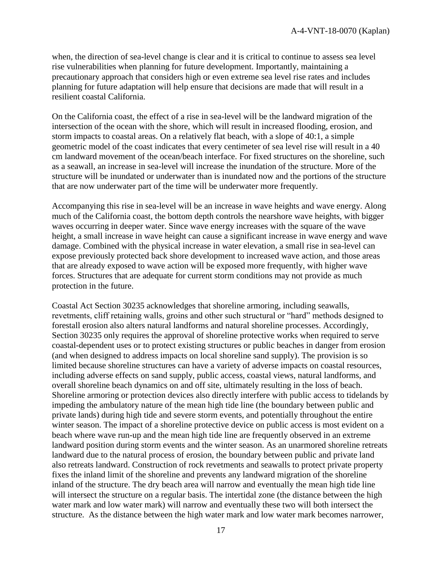when, the direction of sea-level change is clear and it is critical to continue to assess sea level rise vulnerabilities when planning for future development. Importantly, maintaining a precautionary approach that considers high or even extreme sea level rise rates and includes planning for future adaptation will help ensure that decisions are made that will result in a resilient coastal California.

On the California coast, the effect of a rise in sea-level will be the landward migration of the intersection of the ocean with the shore, which will result in increased flooding, erosion, and storm impacts to coastal areas. On a relatively flat beach, with a slope of 40:1, a simple geometric model of the coast indicates that every centimeter of sea level rise will result in a 40 cm landward movement of the ocean/beach interface. For fixed structures on the shoreline, such as a seawall, an increase in sea-level will increase the inundation of the structure. More of the structure will be inundated or underwater than is inundated now and the portions of the structure that are now underwater part of the time will be underwater more frequently.

Accompanying this rise in sea-level will be an increase in wave heights and wave energy. Along much of the California coast, the bottom depth controls the nearshore wave heights, with bigger waves occurring in deeper water. Since wave energy increases with the square of the wave height, a small increase in wave height can cause a significant increase in wave energy and wave damage. Combined with the physical increase in water elevation, a small rise in sea-level can expose previously protected back shore development to increased wave action, and those areas that are already exposed to wave action will be exposed more frequently, with higher wave forces. Structures that are adequate for current storm conditions may not provide as much protection in the future.

Coastal Act Section 30235 acknowledges that shoreline armoring, including seawalls, revetments, cliff retaining walls, groins and other such structural or "hard" methods designed to forestall erosion also alters natural landforms and natural shoreline processes. Accordingly, Section 30235 only requires the approval of shoreline protective works when required to serve coastal-dependent uses or to protect existing structures or public beaches in danger from erosion (and when designed to address impacts on local shoreline sand supply). The provision is so limited because shoreline structures can have a variety of adverse impacts on coastal resources, including adverse effects on sand supply, public access, coastal views, natural landforms, and overall shoreline beach dynamics on and off site, ultimately resulting in the loss of beach. Shoreline armoring or protection devices also directly interfere with public access to tidelands by impeding the ambulatory nature of the mean high tide line (the boundary between public and private lands) during high tide and severe storm events, and potentially throughout the entire winter season. The impact of a shoreline protective device on public access is most evident on a beach where wave run-up and the mean high tide line are frequently observed in an extreme landward position during storm events and the winter season. As an unarmored shoreline retreats landward due to the natural process of erosion, the boundary between public and private land also retreats landward. Construction of rock revetments and seawalls to protect private property fixes the inland limit of the shoreline and prevents any landward migration of the shoreline inland of the structure. The dry beach area will narrow and eventually the mean high tide line will intersect the structure on a regular basis. The intertidal zone (the distance between the high water mark and low water mark) will narrow and eventually these two will both intersect the structure. As the distance between the high water mark and low water mark becomes narrower,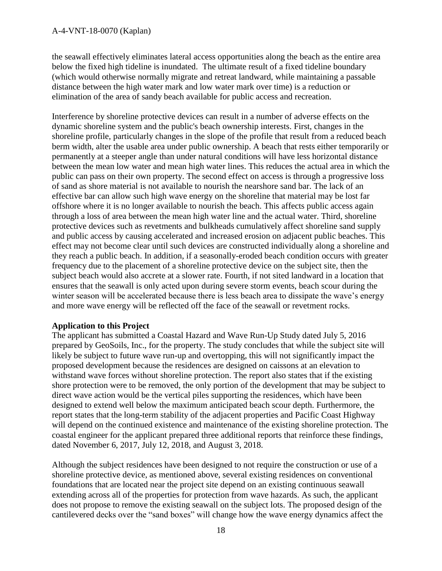the seawall effectively eliminates lateral access opportunities along the beach as the entire area below the fixed high tideline is inundated. The ultimate result of a fixed tideline boundary (which would otherwise normally migrate and retreat landward, while maintaining a passable distance between the high water mark and low water mark over time) is a reduction or elimination of the area of sandy beach available for public access and recreation.

Interference by shoreline protective devices can result in a number of adverse effects on the dynamic shoreline system and the public's beach ownership interests. First, changes in the shoreline profile, particularly changes in the slope of the profile that result from a reduced beach berm width, alter the usable area under public ownership. A beach that rests either temporarily or permanently at a steeper angle than under natural conditions will have less horizontal distance between the mean low water and mean high water lines. This reduces the actual area in which the public can pass on their own property. The second effect on access is through a progressive loss of sand as shore material is not available to nourish the nearshore sand bar. The lack of an effective bar can allow such high wave energy on the shoreline that material may be lost far offshore where it is no longer available to nourish the beach. This affects public access again through a loss of area between the mean high water line and the actual water. Third, shoreline protective devices such as revetments and bulkheads cumulatively affect shoreline sand supply and public access by causing accelerated and increased erosion on adjacent public beaches. This effect may not become clear until such devices are constructed individually along a shoreline and they reach a public beach. In addition, if a seasonally-eroded beach condition occurs with greater frequency due to the placement of a shoreline protective device on the subject site, then the subject beach would also accrete at a slower rate. Fourth, if not sited landward in a location that ensures that the seawall is only acted upon during severe storm events, beach scour during the winter season will be accelerated because there is less beach area to dissipate the wave's energy and more wave energy will be reflected off the face of the seawall or revetment rocks.

### **Application to this Project**

The applicant has submitted a Coastal Hazard and Wave Run-Up Study dated July 5, 2016 prepared by GeoSoils, Inc., for the property. The study concludes that while the subject site will likely be subject to future wave run-up and overtopping, this will not significantly impact the proposed development because the residences are designed on caissons at an elevation to withstand wave forces without shoreline protection. The report also states that if the existing shore protection were to be removed, the only portion of the development that may be subject to direct wave action would be the vertical piles supporting the residences, which have been designed to extend well below the maximum anticipated beach scour depth. Furthermore, the report states that the long-term stability of the adjacent properties and Pacific Coast Highway will depend on the continued existence and maintenance of the existing shoreline protection. The coastal engineer for the applicant prepared three additional reports that reinforce these findings, dated November 6, 2017, July 12, 2018, and August 3, 2018.

Although the subject residences have been designed to not require the construction or use of a shoreline protective device, as mentioned above, several existing residences on conventional foundations that are located near the project site depend on an existing continuous seawall extending across all of the properties for protection from wave hazards. As such, the applicant does not propose to remove the existing seawall on the subject lots. The proposed design of the cantilevered decks over the "sand boxes" will change how the wave energy dynamics affect the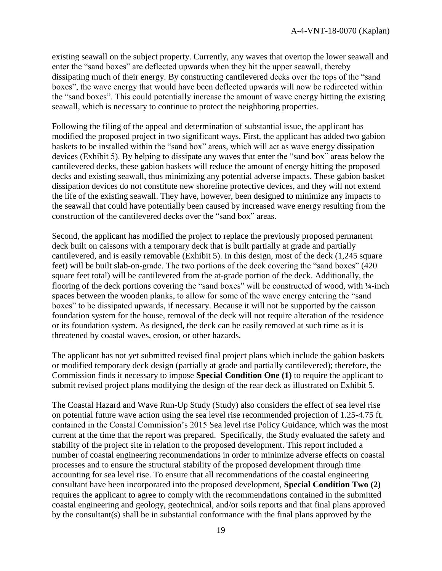existing seawall on the subject property. Currently, any waves that overtop the lower seawall and enter the "sand boxes" are deflected upwards when they hit the upper seawall, thereby dissipating much of their energy. By constructing cantilevered decks over the tops of the "sand boxes", the wave energy that would have been deflected upwards will now be redirected within the "sand boxes". This could potentially increase the amount of wave energy hitting the existing seawall, which is necessary to continue to protect the neighboring properties.

Following the filing of the appeal and determination of substantial issue, the applicant has modified the proposed project in two significant ways. First, the applicant has added two gabion baskets to be installed within the "sand box" areas, which will act as wave energy dissipation devices (Exhibit 5). By helping to dissipate any waves that enter the "sand box" areas below the cantilevered decks, these gabion baskets will reduce the amount of energy hitting the proposed decks and existing seawall, thus minimizing any potential adverse impacts. These gabion basket dissipation devices do not constitute new shoreline protective devices, and they will not extend the life of the existing seawall. They have, however, been designed to minimize any impacts to the seawall that could have potentially been caused by increased wave energy resulting from the construction of the cantilevered decks over the "sand box" areas.

Second, the applicant has modified the project to replace the previously proposed permanent deck built on caissons with a temporary deck that is built partially at grade and partially cantilevered, and is easily removable (Exhibit 5). In this design, most of the deck (1,245 square feet) will be built slab-on-grade. The two portions of the deck covering the "sand boxes" (420 square feet total) will be cantilevered from the at-grade portion of the deck. Additionally, the flooring of the deck portions covering the "sand boxes" will be constructed of wood, with ¼-inch spaces between the wooden planks, to allow for some of the wave energy entering the "sand boxes" to be dissipated upwards, if necessary. Because it will not be supported by the caisson foundation system for the house, removal of the deck will not require alteration of the residence or its foundation system. As designed, the deck can be easily removed at such time as it is threatened by coastal waves, erosion, or other hazards.

The applicant has not yet submitted revised final project plans which include the gabion baskets or modified temporary deck design (partially at grade and partially cantilevered); therefore, the Commission finds it necessary to impose **Special Condition One (1)** to require the applicant to submit revised project plans modifying the design of the rear deck as illustrated on Exhibit 5.

The Coastal Hazard and Wave Run-Up Study (Study) also considers the effect of sea level rise on potential future wave action using the sea level rise recommended projection of 1.25-4.75 ft. contained in the Coastal Commission's 2015 Sea level rise Policy Guidance, which was the most current at the time that the report was prepared. Specifically, the Study evaluated the safety and stability of the project site in relation to the proposed development. This report included a number of coastal engineering recommendations in order to minimize adverse effects on coastal processes and to ensure the structural stability of the proposed development through time accounting for sea level rise. To ensure that all recommendations of the coastal engineering consultant have been incorporated into the proposed development, **Special Condition Two (2)**  requires the applicant to agree to comply with the recommendations contained in the submitted coastal engineering and geology, geotechnical, and/or soils reports and that final plans approved by the consultant(s) shall be in substantial conformance with the final plans approved by the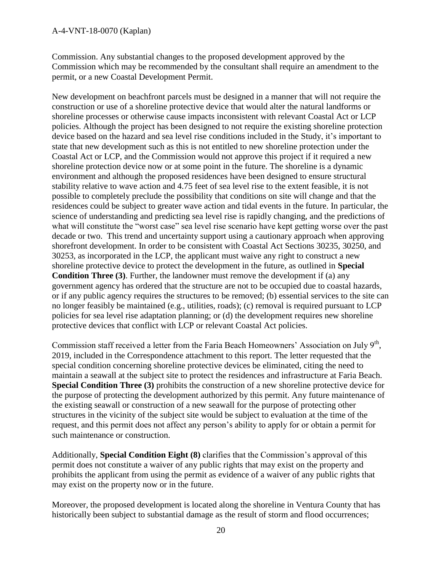Commission. Any substantial changes to the proposed development approved by the Commission which may be recommended by the consultant shall require an amendment to the permit, or a new Coastal Development Permit.

New development on beachfront parcels must be designed in a manner that will not require the construction or use of a shoreline protective device that would alter the natural landforms or shoreline processes or otherwise cause impacts inconsistent with relevant Coastal Act or LCP policies. Although the project has been designed to not require the existing shoreline protection device based on the hazard and sea level rise conditions included in the Study, it's important to state that new development such as this is not entitled to new shoreline protection under the Coastal Act or LCP, and the Commission would not approve this project if it required a new shoreline protection device now or at some point in the future. The shoreline is a dynamic environment and although the proposed residences have been designed to ensure structural stability relative to wave action and 4.75 feet of sea level rise to the extent feasible, it is not possible to completely preclude the possibility that conditions on site will change and that the residences could be subject to greater wave action and tidal events in the future. In particular, the science of understanding and predicting sea level rise is rapidly changing, and the predictions of what will constitute the "worst case" sea level rise scenario have kept getting worse over the past decade or two. This trend and uncertainty support using a cautionary approach when approving shorefront development. In order to be consistent with Coastal Act Sections 30235, 30250, and 30253, as incorporated in the LCP, the applicant must waive any right to construct a new shoreline protective device to protect the development in the future, as outlined in **Special Condition Three (3)**. Further, the landowner must remove the development if (a) any government agency has ordered that the structure are not to be occupied due to coastal hazards, or if any public agency requires the structures to be removed; (b) essential services to the site can no longer feasibly be maintained (e.g., utilities, roads); (c) removal is required pursuant to LCP policies for sea level rise adaptation planning; or (d) the development requires new shoreline protective devices that conflict with LCP or relevant Coastal Act policies.

Commission staff received a letter from the Faria Beach Homeowners' Association on July  $9<sup>th</sup>$ , 2019, included in the Correspondence attachment to this report. The letter requested that the special condition concerning shoreline protective devices be eliminated, citing the need to maintain a seawall at the subject site to protect the residences and infrastructure at Faria Beach. **Special Condition Three (3)** prohibits the construction of a new shoreline protective device for the purpose of protecting the development authorized by this permit. Any future maintenance of the existing seawall or construction of a new seawall for the purpose of protecting other structures in the vicinity of the subject site would be subject to evaluation at the time of the request, and this permit does not affect any person's ability to apply for or obtain a permit for such maintenance or construction.

Additionally, **Special Condition Eight (8)** clarifies that the Commission's approval of this permit does not constitute a waiver of any public rights that may exist on the property and prohibits the applicant from using the permit as evidence of a waiver of any public rights that may exist on the property now or in the future.

Moreover, the proposed development is located along the shoreline in Ventura County that has historically been subject to substantial damage as the result of storm and flood occurrences;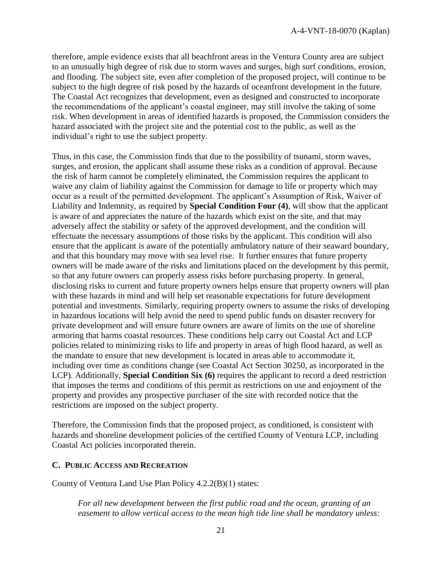therefore, ample evidence exists that all beachfront areas in the Ventura County area are subject to an unusually high degree of risk due to storm waves and surges, high surf conditions, erosion, and flooding. The subject site, even after completion of the proposed project, will continue to be subject to the high degree of risk posed by the hazards of oceanfront development in the future. The Coastal Act recognizes that development, even as designed and constructed to incorporate the recommendations of the applicant's coastal engineer, may still involve the taking of some risk. When development in areas of identified hazards is proposed, the Commission considers the hazard associated with the project site and the potential cost to the public, as well as the individual's right to use the subject property.

Thus, in this case, the Commission finds that due to the possibility of tsunami, storm waves, surges, and erosion, the applicant shall assume these risks as a condition of approval. Because the risk of harm cannot be completely eliminated, the Commission requires the applicant to waive any claim of liability against the Commission for damage to life or property which may occur as a result of the permitted development. The applicant's Assumption of Risk, Waiver of Liability and Indemnity, as required by **Special Condition Four (4)**, will show that the applicant is aware of and appreciates the nature of the hazards which exist on the site, and that may adversely affect the stability or safety of the approved development, and the condition will effectuate the necessary assumptions of those risks by the applicant. This condition will also ensure that the applicant is aware of the potentially ambulatory nature of their seaward boundary, and that this boundary may move with sea level rise. It further ensures that future property owners will be made aware of the risks and limitations placed on the development by this permit, so that any future owners can properly assess risks before purchasing property. In general, disclosing risks to current and future property owners helps ensure that property owners will plan with these hazards in mind and will help set reasonable expectations for future development potential and investments. Similarly, requiring property owners to assume the risks of developing in hazardous locations will help avoid the need to spend public funds on disaster recovery for private development and will ensure future owners are aware of limits on the use of shoreline armoring that harms coastal resources. These conditions help carry out Coastal Act and LCP policies related to minimizing risks to life and property in areas of high flood hazard, as well as the mandate to ensure that new development is located in areas able to accommodate it, including over time as conditions change (see Coastal Act Section 30250, as incorporated in the LCP). Additionally, **Special Condition Six (6)** requires the applicant to record a deed restriction that imposes the terms and conditions of this permit as restrictions on use and enjoyment of the property and provides any prospective purchaser of the site with recorded notice that the restrictions are imposed on the subject property.

Therefore, the Commission finds that the proposed project, as conditioned, is consistent with hazards and shoreline development policies of the certified County of Ventura LCP, including Coastal Act policies incorporated therein.

### <span id="page-20-0"></span>**C. PUBLIC ACCESS AND RECREATION**

County of Ventura Land Use Plan Policy 4.2.2(B)(1) states:

*For all new development between the first public road and the ocean, granting of an easement to allow vertical access to the mean high tide line shall be mandatory unless:*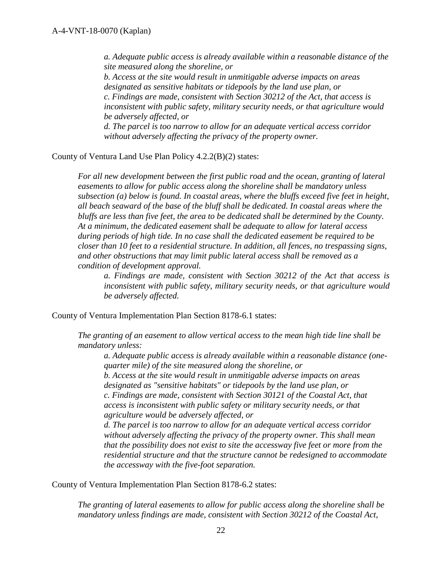*a. Adequate public access is already available within a reasonable distance of the site measured along the shoreline, or b. Access at the site would result in unmitigable adverse impacts on areas designated as sensitive habitats or tidepools by the land use plan, or c. Findings are made, consistent with Section 30212 of the Act, that access is inconsistent with public safety, military security needs, or that agriculture would be adversely affected, or d. The parcel is too narrow to allow for an adequate vertical access corridor without adversely affecting the privacy of the property owner.*

County of Ventura Land Use Plan Policy 4.2.2(B)(2) states:

*For all new development between the first public road and the ocean, granting of lateral easements to allow for public access along the shoreline shall be mandatory unless subsection (a) below is found. In coastal areas, where the bluffs exceed five feet in height, all beach seaward of the base of the bluff shall be dedicated. In coastal areas where the bluffs are less than five feet, the area to be dedicated shall be determined by the County. At a minimum, the dedicated easement shall be adequate to allow for lateral access during periods of high tide. In no case shall the dedicated easement be required to be closer than 10 feet to a residential structure. In addition, all fences, no trespassing signs, and other obstructions that may limit public lateral access shall be removed as a condition of development approval.* 

*a. Findings are made, consistent with Section 30212 of the Act that access is inconsistent with public safety, military security needs, or that agriculture would be adversely affected.*

County of Ventura Implementation Plan Section 8178-6.1 states:

*The granting of an easement to allow vertical access to the mean high tide line shall be mandatory unless:* 

*a. Adequate public access is already available within a reasonable distance (onequarter mile) of the site measured along the shoreline, or* 

*b. Access at the site would result in unmitigable adverse impacts on areas designated as "sensitive habitats" or tidepools by the land use plan, or c. Findings are made, consistent with Section 30121 of the Coastal Act, that access is inconsistent with public safety or military security needs, or that agriculture would be adversely affected, or* 

*d. The parcel is too narrow to allow for an adequate vertical access corridor without adversely affecting the privacy of the property owner. This shall mean that the possibility does not exist to site the accessway five feet or more from the residential structure and that the structure cannot be redesigned to accommodate the accessway with the five-foot separation.*

County of Ventura Implementation Plan Section 8178-6.2 states:

*The granting of lateral easements to allow for public access along the shoreline shall be mandatory unless findings are made, consistent with Section 30212 of the Coastal Act,*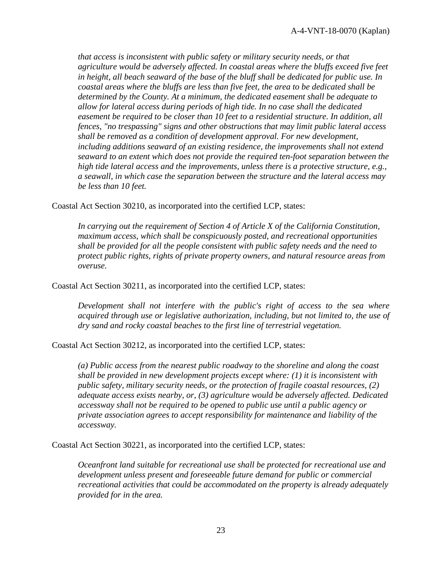*that access is inconsistent with public safety or military security needs, or that agriculture would be adversely affected. In coastal areas where the bluffs exceed five feet in height, all beach seaward of the base of the bluff shall be dedicated for public use. In coastal areas where the bluffs are less than five feet, the area to be dedicated shall be determined by the County. At a minimum, the dedicated easement shall be adequate to allow for lateral access during periods of high tide. In no case shall the dedicated easement be required to be closer than 10 feet to a residential structure. In addition, all fences, "no trespassing" signs and other obstructions that may limit public lateral access shall be removed as a condition of development approval. For new development, including additions seaward of an existing residence, the improvements shall not extend seaward to an extent which does not provide the required ten-foot separation between the high tide lateral access and the improvements, unless there is a protective structure, e.g., a seawall, in which case the separation between the structure and the lateral access may be less than 10 feet.*

Coastal Act Section 30210, as incorporated into the certified LCP, states:

*In carrying out the requirement of Section 4 of Article X of the California Constitution, maximum access, which shall be conspicuously posted, and recreational opportunities shall be provided for all the people consistent with public safety needs and the need to protect public rights, rights of private property owners, and natural resource areas from overuse.*

Coastal Act Section 30211, as incorporated into the certified LCP, states:

*Development shall not interfere with the public's right of access to the sea where acquired through use or legislative authorization, including, but not limited to, the use of dry sand and rocky coastal beaches to the first line of terrestrial vegetation.*

Coastal Act Section 30212, as incorporated into the certified LCP, states:

*(a) Public access from the nearest public roadway to the shoreline and along the coast shall be provided in new development projects except where: (1) it is inconsistent with public safety, military security needs, or the protection of fragile coastal resources, (2) adequate access exists nearby, or, (3) agriculture would be adversely affected. Dedicated accessway shall not be required to be opened to public use until a public agency or private association agrees to accept responsibility for maintenance and liability of the accessway.*

Coastal Act Section 30221, as incorporated into the certified LCP, states:

*Oceanfront land suitable for recreational use shall be protected for recreational use and development unless present and foreseeable future demand for public or commercial recreational activities that could be accommodated on the property is already adequately provided for in the area.*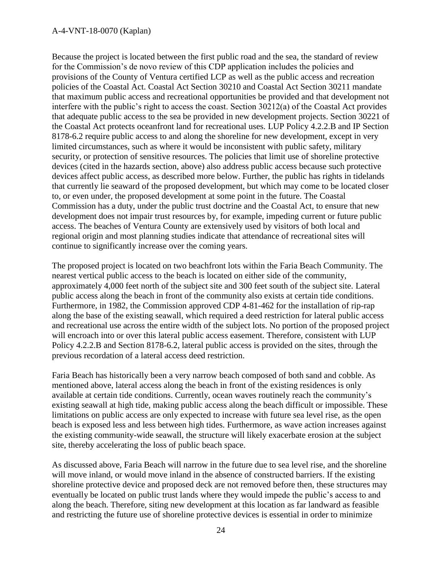#### A-4-VNT-18-0070 (Kaplan)

Because the project is located between the first public road and the sea, the standard of review for the Commission's de novo review of this CDP application includes the policies and provisions of the County of Ventura certified LCP as well as the public access and recreation policies of the Coastal Act. Coastal Act Section 30210 and Coastal Act Section 30211 mandate that maximum public access and recreational opportunities be provided and that development not interfere with the public's right to access the coast. Section 30212(a) of the Coastal Act provides that adequate public access to the sea be provided in new development projects. Section 30221 of the Coastal Act protects oceanfront land for recreational uses. LUP Policy 4.2.2.B and IP Section 8178-6.2 require public access to and along the shoreline for new development, except in very limited circumstances, such as where it would be inconsistent with public safety, military security, or protection of sensitive resources. The policies that limit use of shoreline protective devices (cited in the hazards section, above) also address public access because such protective devices affect public access, as described more below. Further, the public has rights in tidelands that currently lie seaward of the proposed development, but which may come to be located closer to, or even under, the proposed development at some point in the future. The Coastal Commission has a duty, under the public trust doctrine and the Coastal Act, to ensure that new development does not impair trust resources by, for example, impeding current or future public access. The beaches of Ventura County are extensively used by visitors of both local and regional origin and most planning studies indicate that attendance of recreational sites will continue to significantly increase over the coming years.

The proposed project is located on two beachfront lots within the Faria Beach Community. The nearest vertical public access to the beach is located on either side of the community, approximately 4,000 feet north of the subject site and 300 feet south of the subject site. Lateral public access along the beach in front of the community also exists at certain tide conditions. Furthermore, in 1982, the Commission approved CDP 4-81-462 for the installation of rip-rap along the base of the existing seawall, which required a deed restriction for lateral public access and recreational use across the entire width of the subject lots. No portion of the proposed project will encroach into or over this lateral public access easement. Therefore, consistent with LUP Policy 4.2.2.B and Section 8178-6.2, lateral public access is provided on the sites, through the previous recordation of a lateral access deed restriction.

Faria Beach has historically been a very narrow beach composed of both sand and cobble. As mentioned above, lateral access along the beach in front of the existing residences is only available at certain tide conditions. Currently, ocean waves routinely reach the community's existing seawall at high tide, making public access along the beach difficult or impossible. These limitations on public access are only expected to increase with future sea level rise, as the open beach is exposed less and less between high tides. Furthermore, as wave action increases against the existing community-wide seawall, the structure will likely exacerbate erosion at the subject site, thereby accelerating the loss of public beach space.

As discussed above, Faria Beach will narrow in the future due to sea level rise, and the shoreline will move inland, or would move inland in the absence of constructed barriers. If the existing shoreline protective device and proposed deck are not removed before then, these structures may eventually be located on public trust lands where they would impede the public's access to and along the beach. Therefore, siting new development at this location as far landward as feasible and restricting the future use of shoreline protective devices is essential in order to minimize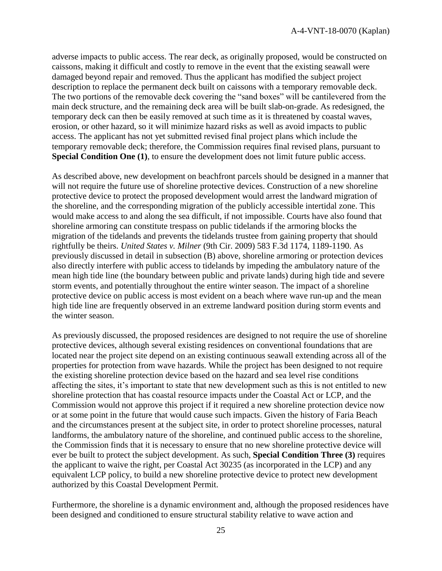adverse impacts to public access. The rear deck, as originally proposed, would be constructed on caissons, making it difficult and costly to remove in the event that the existing seawall were damaged beyond repair and removed. Thus the applicant has modified the subject project description to replace the permanent deck built on caissons with a temporary removable deck. The two portions of the removable deck covering the "sand boxes" will be cantilevered from the main deck structure, and the remaining deck area will be built slab-on-grade. As redesigned, the temporary deck can then be easily removed at such time as it is threatened by coastal waves, erosion, or other hazard, so it will minimize hazard risks as well as avoid impacts to public access. The applicant has not yet submitted revised final project plans which include the temporary removable deck; therefore, the Commission requires final revised plans, pursuant to **Special Condition One (1)**, to ensure the development does not limit future public access.

As described above, new development on beachfront parcels should be designed in a manner that will not require the future use of shoreline protective devices. Construction of a new shoreline protective device to protect the proposed development would arrest the landward migration of the shoreline, and the corresponding migration of the publicly accessible intertidal zone. This would make access to and along the sea difficult, if not impossible. Courts have also found that shoreline armoring can constitute trespass on public tidelands if the armoring blocks the migration of the tidelands and prevents the tidelands trustee from gaining property that should rightfully be theirs. *United States v. Milner* (9th Cir. 2009) 583 F.3d 1174, 1189-1190. As previously discussed in detail in subsection (B) above, shoreline armoring or protection devices also directly interfere with public access to tidelands by impeding the ambulatory nature of the mean high tide line (the boundary between public and private lands) during high tide and severe storm events, and potentially throughout the entire winter season. The impact of a shoreline protective device on public access is most evident on a beach where wave run-up and the mean high tide line are frequently observed in an extreme landward position during storm events and the winter season.

As previously discussed, the proposed residences are designed to not require the use of shoreline protective devices, although several existing residences on conventional foundations that are located near the project site depend on an existing continuous seawall extending across all of the properties for protection from wave hazards. While the project has been designed to not require the existing shoreline protection device based on the hazard and sea level rise conditions affecting the sites, it's important to state that new development such as this is not entitled to new shoreline protection that has coastal resource impacts under the Coastal Act or LCP, and the Commission would not approve this project if it required a new shoreline protection device now or at some point in the future that would cause such impacts. Given the history of Faria Beach and the circumstances present at the subject site, in order to protect shoreline processes, natural landforms, the ambulatory nature of the shoreline, and continued public access to the shoreline, the Commission finds that it is necessary to ensure that no new shoreline protective device will ever be built to protect the subject development. As such, **Special Condition Three (3)** requires the applicant to waive the right, per Coastal Act 30235 (as incorporated in the LCP) and any equivalent LCP policy, to build a new shoreline protective device to protect new development authorized by this Coastal Development Permit.

Furthermore, the shoreline is a dynamic environment and, although the proposed residences have been designed and conditioned to ensure structural stability relative to wave action and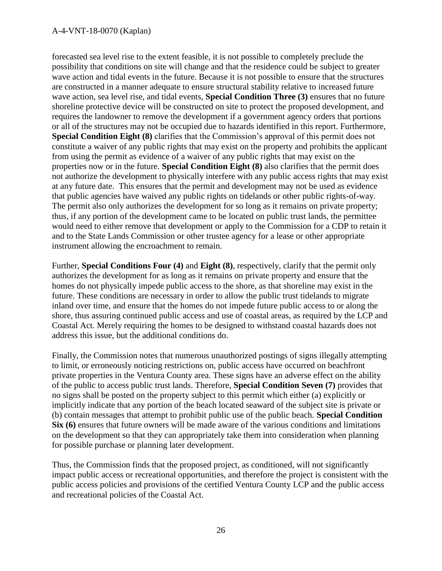#### A-4-VNT-18-0070 (Kaplan)

forecasted sea level rise to the extent feasible, it is not possible to completely preclude the possibility that conditions on site will change and that the residence could be subject to greater wave action and tidal events in the future. Because it is not possible to ensure that the structures are constructed in a manner adequate to ensure structural stability relative to increased future wave action, sea level rise, and tidal events, **Special Condition Three (3)** ensures that no future shoreline protective device will be constructed on site to protect the proposed development, and requires the landowner to remove the development if a government agency orders that portions or all of the structures may not be occupied due to hazards identified in this report. Furthermore, **Special Condition Eight (8)** clarifies that the Commission's approval of this permit does not constitute a waiver of any public rights that may exist on the property and prohibits the applicant from using the permit as evidence of a waiver of any public rights that may exist on the properties now or in the future. **Special Condition Eight (8)** also clarifies that the permit does not authorize the development to physically interfere with any public access rights that may exist at any future date. This ensures that the permit and development may not be used as evidence that public agencies have waived any public rights on tidelands or other public rights-of-way. The permit also only authorizes the development for so long as it remains on private property; thus, if any portion of the development came to be located on public trust lands, the permittee would need to either remove that development or apply to the Commission for a CDP to retain it and to the State Lands Commission or other trustee agency for a lease or other appropriate instrument allowing the encroachment to remain.

Further, **Special Conditions Four (4)** and **Eight (8)**, respectively, clarify that the permit only authorizes the development for as long as it remains on private property and ensure that the homes do not physically impede public access to the shore, as that shoreline may exist in the future. These conditions are necessary in order to allow the public trust tidelands to migrate inland over time, and ensure that the homes do not impede future public access to or along the shore, thus assuring continued public access and use of coastal areas, as required by the LCP and Coastal Act. Merely requiring the homes to be designed to withstand coastal hazards does not address this issue, but the additional conditions do.

Finally, the Commission notes that numerous unauthorized postings of signs illegally attempting to limit, or erroneously noticing restrictions on, public access have occurred on beachfront private properties in the Ventura County area. These signs have an adverse effect on the ability of the public to access public trust lands. Therefore, **Special Condition Seven (7)** provides that no signs shall be posted on the property subject to this permit which either (a) explicitly or implicitly indicate that any portion of the beach located seaward of the subject site is private or (b) contain messages that attempt to prohibit public use of the public beach. **Special Condition Six (6)** ensures that future owners will be made aware of the various conditions and limitations on the development so that they can appropriately take them into consideration when planning for possible purchase or planning later development.

Thus, the Commission finds that the proposed project, as conditioned, will not significantly impact public access or recreational opportunities, and therefore the project is consistent with the public access policies and provisions of the certified Ventura County LCP and the public access and recreational policies of the Coastal Act.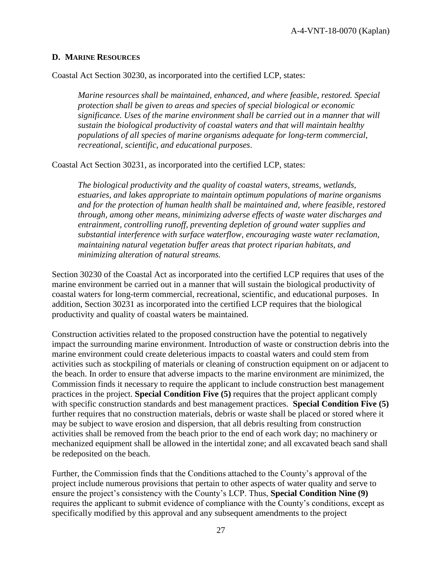### <span id="page-26-0"></span>**D. MARINE RESOURCES**

Coastal Act Section 30230, as incorporated into the certified LCP, states:

*Marine resources shall be maintained, enhanced, and where feasible, restored. Special protection shall be given to areas and species of special biological or economic significance. Uses of the marine environment shall be carried out in a manner that will sustain the biological productivity of coastal waters and that will maintain healthy populations of all species of marine organisms adequate for long-term commercial, recreational, scientific, and educational purposes*.

Coastal Act Section 30231, as incorporated into the certified LCP, states:

*The biological productivity and the quality of coastal waters, streams, wetlands, estuaries, and lakes appropriate to maintain optimum populations of marine organisms and for the protection of human health shall be maintained and, where feasible, restored through, among other means, minimizing adverse effects of waste water discharges and entrainment, controlling runoff, preventing depletion of ground water supplies and substantial interference with surface waterflow, encouraging waste water reclamation, maintaining natural vegetation buffer areas that protect riparian habitats, and minimizing alteration of natural streams.*

Section 30230 of the Coastal Act as incorporated into the certified LCP requires that uses of the marine environment be carried out in a manner that will sustain the biological productivity of coastal waters for long-term commercial, recreational, scientific, and educational purposes. In addition, Section 30231 as incorporated into the certified LCP requires that the biological productivity and quality of coastal waters be maintained.

Construction activities related to the proposed construction have the potential to negatively impact the surrounding marine environment. Introduction of waste or construction debris into the marine environment could create deleterious impacts to coastal waters and could stem from activities such as stockpiling of materials or cleaning of construction equipment on or adjacent to the beach. In order to ensure that adverse impacts to the marine environment are minimized, the Commission finds it necessary to require the applicant to include construction best management practices in the project. **Special Condition Five (5)** requires that the project applicant comply with specific construction standards and best management practices. **Special Condition Five (5)**  further requires that no construction materials, debris or waste shall be placed or stored where it may be subject to wave erosion and dispersion, that all debris resulting from construction activities shall be removed from the beach prior to the end of each work day; no machinery or mechanized equipment shall be allowed in the intertidal zone; and all excavated beach sand shall be redeposited on the beach.

Further, the Commission finds that the Conditions attached to the County's approval of the project include numerous provisions that pertain to other aspects of water quality and serve to ensure the project's consistency with the County's LCP. Thus, **Special Condition Nine (9)** requires the applicant to submit evidence of compliance with the County's conditions, except as specifically modified by this approval and any subsequent amendments to the project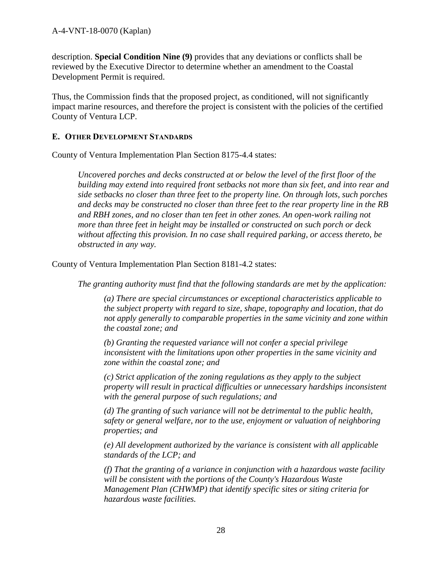description. **Special Condition Nine (9)** provides that any deviations or conflicts shall be reviewed by the Executive Director to determine whether an amendment to the Coastal Development Permit is required.

Thus, the Commission finds that the proposed project, as conditioned, will not significantly impact marine resources, and therefore the project is consistent with the policies of the certified County of Ventura LCP.

## <span id="page-27-0"></span>**E. OTHER DEVELOPMENT STANDARDS**

County of Ventura Implementation Plan Section 8175-4.4 states:

*Uncovered porches and decks constructed at or below the level of the first floor of the building may extend into required front setbacks not more than six feet, and into rear and side setbacks no closer than three feet to the property line. On through lots, such porches and decks may be constructed no closer than three feet to the rear property line in the RB and RBH zones, and no closer than ten feet in other zones. An open-work railing not more than three feet in height may be installed or constructed on such porch or deck without affecting this provision. In no case shall required parking, or access thereto, be obstructed in any way.*

County of Ventura Implementation Plan Section 8181-4.2 states:

*The granting authority must find that the following standards are met by the application:* 

*(a) There are special circumstances or exceptional characteristics applicable to the subject property with regard to size, shape, topography and location, that do not apply generally to comparable properties in the same vicinity and zone within the coastal zone; and* 

*(b) Granting the requested variance will not confer a special privilege inconsistent with the limitations upon other properties in the same vicinity and zone within the coastal zone; and* 

*(c) Strict application of the zoning regulations as they apply to the subject property will result in practical difficulties or unnecessary hardships inconsistent with the general purpose of such regulations; and* 

*(d) The granting of such variance will not be detrimental to the public health, safety or general welfare, nor to the use, enjoyment or valuation of neighboring properties; and* 

*(e) All development authorized by the variance is consistent with all applicable standards of the LCP; and* 

*(f) That the granting of a variance in conjunction with a hazardous waste facility will be consistent with the portions of the County's Hazardous Waste Management Plan (CHWMP) that identify specific sites or siting criteria for hazardous waste facilities.*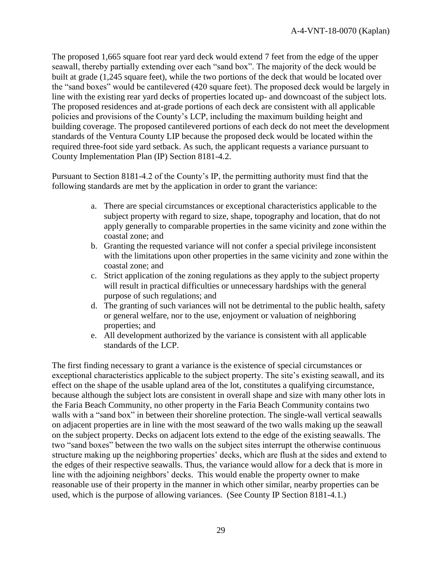The proposed 1,665 square foot rear yard deck would extend 7 feet from the edge of the upper seawall, thereby partially extending over each "sand box". The majority of the deck would be built at grade (1,245 square feet), while the two portions of the deck that would be located over the "sand boxes" would be cantilevered (420 square feet). The proposed deck would be largely in line with the existing rear yard decks of properties located up- and downcoast of the subject lots. The proposed residences and at-grade portions of each deck are consistent with all applicable policies and provisions of the County's LCP, including the maximum building height and building coverage. The proposed cantilevered portions of each deck do not meet the development standards of the Ventura County LIP because the proposed deck would be located within the required three-foot side yard setback. As such, the applicant requests a variance pursuant to County Implementation Plan (IP) Section 8181-4.2.

Pursuant to Section 8181-4.2 of the County's IP, the permitting authority must find that the following standards are met by the application in order to grant the variance:

- a. There are special circumstances or exceptional characteristics applicable to the subject property with regard to size, shape, topography and location, that do not apply generally to comparable properties in the same vicinity and zone within the coastal zone; and
- b. Granting the requested variance will not confer a special privilege inconsistent with the limitations upon other properties in the same vicinity and zone within the coastal zone; and
- c. Strict application of the zoning regulations as they apply to the subject property will result in practical difficulties or unnecessary hardships with the general purpose of such regulations; and
- d. The granting of such variances will not be detrimental to the public health, safety or general welfare, nor to the use, enjoyment or valuation of neighboring properties; and
- e. All development authorized by the variance is consistent with all applicable standards of the LCP.

The first finding necessary to grant a variance is the existence of special circumstances or exceptional characteristics applicable to the subject property. The site's existing seawall, and its effect on the shape of the usable upland area of the lot, constitutes a qualifying circumstance, because although the subject lots are consistent in overall shape and size with many other lots in the Faria Beach Community, no other property in the Faria Beach Community contains two walls with a "sand box" in between their shoreline protection. The single-wall vertical seawalls on adjacent properties are in line with the most seaward of the two walls making up the seawall on the subject property. Decks on adjacent lots extend to the edge of the existing seawalls. The two "sand boxes" between the two walls on the subject sites interrupt the otherwise continuous structure making up the neighboring properties' decks, which are flush at the sides and extend to the edges of their respective seawalls. Thus, the variance would allow for a deck that is more in line with the adjoining neighbors' decks. This would enable the property owner to make reasonable use of their property in the manner in which other similar, nearby properties can be used, which is the purpose of allowing variances. (See County IP Section 8181-4.1.)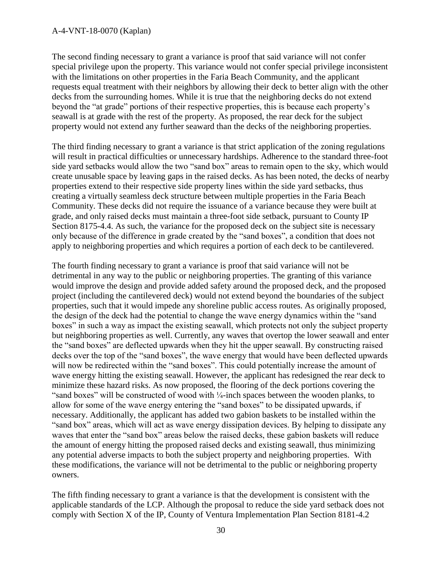#### A-4-VNT-18-0070 (Kaplan)

The second finding necessary to grant a variance is proof that said variance will not confer special privilege upon the property. This variance would not confer special privilege inconsistent with the limitations on other properties in the Faria Beach Community, and the applicant requests equal treatment with their neighbors by allowing their deck to better align with the other decks from the surrounding homes. While it is true that the neighboring decks do not extend beyond the "at grade" portions of their respective properties, this is because each property's seawall is at grade with the rest of the property. As proposed, the rear deck for the subject property would not extend any further seaward than the decks of the neighboring properties.

The third finding necessary to grant a variance is that strict application of the zoning regulations will result in practical difficulties or unnecessary hardships. Adherence to the standard three-foot side yard setbacks would allow the two "sand box" areas to remain open to the sky, which would create unusable space by leaving gaps in the raised decks. As has been noted, the decks of nearby properties extend to their respective side property lines within the side yard setbacks, thus creating a virtually seamless deck structure between multiple properties in the Faria Beach Community. These decks did not require the issuance of a variance because they were built at grade, and only raised decks must maintain a three-foot side setback, pursuant to County IP Section 8175-4.4. As such, the variance for the proposed deck on the subject site is necessary only because of the difference in grade created by the "sand boxes", a condition that does not apply to neighboring properties and which requires a portion of each deck to be cantilevered.

The fourth finding necessary to grant a variance is proof that said variance will not be detrimental in any way to the public or neighboring properties. The granting of this variance would improve the design and provide added safety around the proposed deck, and the proposed project (including the cantilevered deck) would not extend beyond the boundaries of the subject properties, such that it would impede any shoreline public access routes. As originally proposed, the design of the deck had the potential to change the wave energy dynamics within the "sand boxes" in such a way as impact the existing seawall, which protects not only the subject property but neighboring properties as well. Currently, any waves that overtop the lower seawall and enter the "sand boxes" are deflected upwards when they hit the upper seawall. By constructing raised decks over the top of the "sand boxes", the wave energy that would have been deflected upwards will now be redirected within the "sand boxes". This could potentially increase the amount of wave energy hitting the existing seawall. However, the applicant has redesigned the rear deck to minimize these hazard risks. As now proposed, the flooring of the deck portions covering the "sand boxes" will be constructed of wood with ¼-inch spaces between the wooden planks, to allow for some of the wave energy entering the "sand boxes" to be dissipated upwards, if necessary. Additionally, the applicant has added two gabion baskets to be installed within the "sand box" areas, which will act as wave energy dissipation devices. By helping to dissipate any waves that enter the "sand box" areas below the raised decks, these gabion baskets will reduce the amount of energy hitting the proposed raised decks and existing seawall, thus minimizing any potential adverse impacts to both the subject property and neighboring properties. With these modifications, the variance will not be detrimental to the public or neighboring property owners.

The fifth finding necessary to grant a variance is that the development is consistent with the applicable standards of the LCP. Although the proposal to reduce the side yard setback does not comply with Section X of the IP, County of Ventura Implementation Plan Section 8181-4.2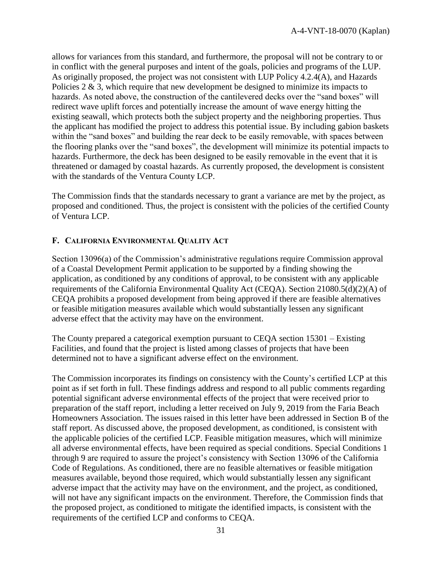allows for variances from this standard, and furthermore, the proposal will not be contrary to or in conflict with the general purposes and intent of the goals, policies and programs of the LUP. As originally proposed, the project was not consistent with LUP Policy 4.2.4(A), and Hazards Policies  $2 \& 3$ , which require that new development be designed to minimize its impacts to hazards. As noted above, the construction of the cantilevered decks over the "sand boxes" will redirect wave uplift forces and potentially increase the amount of wave energy hitting the existing seawall, which protects both the subject property and the neighboring properties. Thus the applicant has modified the project to address this potential issue. By including gabion baskets within the "sand boxes" and building the rear deck to be easily removable, with spaces between the flooring planks over the "sand boxes", the development will minimize its potential impacts to hazards. Furthermore, the deck has been designed to be easily removable in the event that it is threatened or damaged by coastal hazards. As currently proposed, the development is consistent with the standards of the Ventura County LCP.

The Commission finds that the standards necessary to grant a variance are met by the project, as proposed and conditioned. Thus, the project is consistent with the policies of the certified County of Ventura LCP.

## <span id="page-30-0"></span>**F. CALIFORNIA ENVIRONMENTAL QUALITY ACT**

Section 13096(a) of the Commission's administrative regulations require Commission approval of a Coastal Development Permit application to be supported by a finding showing the application, as conditioned by any conditions of approval, to be consistent with any applicable requirements of the California Environmental Quality Act (CEQA). Section 21080.5(d)(2)(A) of CEQA prohibits a proposed development from being approved if there are feasible alternatives or feasible mitigation measures available which would substantially lessen any significant adverse effect that the activity may have on the environment.

The County prepared a categorical exemption pursuant to CEQA section 15301 – Existing Facilities, and found that the project is listed among classes of projects that have been determined not to have a significant adverse effect on the environment.

The Commission incorporates its findings on consistency with the County's certified LCP at this point as if set forth in full. These findings address and respond to all public comments regarding potential significant adverse environmental effects of the project that were received prior to preparation of the staff report, including a letter received on July 9, 2019 from the Faria Beach Homeowners Association. The issues raised in this letter have been addressed in Section B of the staff report. As discussed above, the proposed development, as conditioned, is consistent with the applicable policies of the certified LCP. Feasible mitigation measures, which will minimize all adverse environmental effects, have been required as special conditions. Special Conditions 1 through 9 are required to assure the project's consistency with Section 13096 of the California Code of Regulations. As conditioned, there are no feasible alternatives or feasible mitigation measures available, beyond those required, which would substantially lessen any significant adverse impact that the activity may have on the environment, and the project, as conditioned, will not have any significant impacts on the environment. Therefore, the Commission finds that the proposed project, as conditioned to mitigate the identified impacts, is consistent with the requirements of the certified LCP and conforms to CEQA.